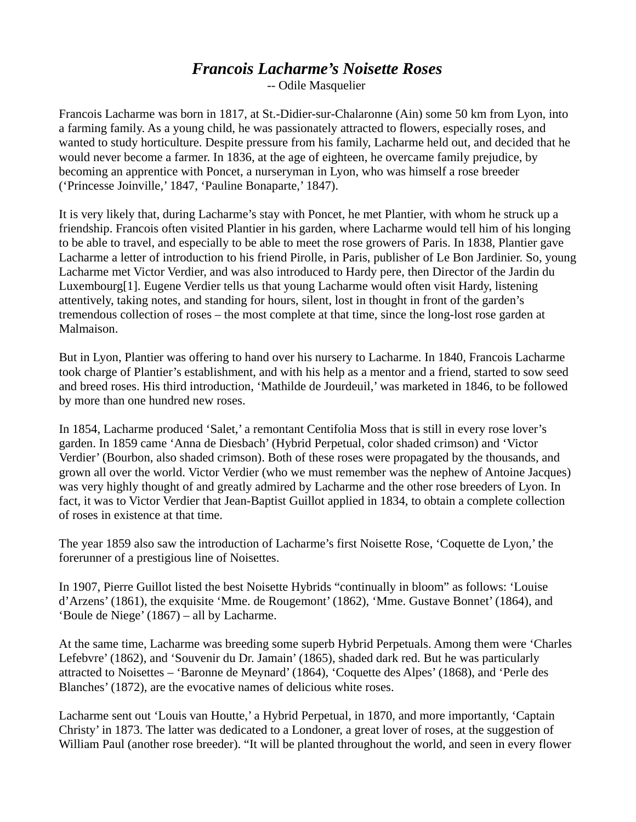## *Francois Lacharme's Noisette Roses*

-- Odile Masquelier

Francois Lacharme was born in 1817, at St.-Didier-sur-Chalaronne (Ain) some 50 km from Lyon, into a farming family. As a young child, he was passionately attracted to flowers, especially roses, and wanted to study horticulture. Despite pressure from his family, Lacharme held out, and decided that he would never become a farmer. In 1836, at the age of eighteen, he overcame family prejudice, by becoming an apprentice with Poncet, a nurseryman in Lyon, who was himself a rose breeder ('Princesse Joinville,' 1847, 'Pauline Bonaparte,' 1847).

It is very likely that, during Lacharme's stay with Poncet, he met Plantier, with whom he struck up a friendship. Francois often visited Plantier in his garden, where Lacharme would tell him of his longing to be able to travel, and especially to be able to meet the rose growers of Paris. In 1838, Plantier gave Lacharme a letter of introduction to his friend Pirolle, in Paris, publisher of Le Bon Jardinier. So, young Lacharme met Victor Verdier, and was also introduced to Hardy pere, then Director of the Jardin du Luxembourg[1]. Eugene Verdier tells us that young Lacharme would often visit Hardy, listening attentively, taking notes, and standing for hours, silent, lost in thought in front of the garden's tremendous collection of roses – the most complete at that time, since the long-lost rose garden at Malmaison.

But in Lyon, Plantier was offering to hand over his nursery to Lacharme. In 1840, Francois Lacharme took charge of Plantier's establishment, and with his help as a mentor and a friend, started to sow seed and breed roses. His third introduction, 'Mathilde de Jourdeuil,' was marketed in 1846, to be followed by more than one hundred new roses.

In 1854, Lacharme produced 'Salet,' a remontant Centifolia Moss that is still in every rose lover's garden. In 1859 came 'Anna de Diesbach' (Hybrid Perpetual, color shaded crimson) and 'Victor Verdier' (Bourbon, also shaded crimson). Both of these roses were propagated by the thousands, and grown all over the world. Victor Verdier (who we must remember was the nephew of Antoine Jacques) was very highly thought of and greatly admired by Lacharme and the other rose breeders of Lyon. In fact, it was to Victor Verdier that Jean-Baptist Guillot applied in 1834, to obtain a complete collection of roses in existence at that time.

The year 1859 also saw the introduction of Lacharme's first Noisette Rose, 'Coquette de Lyon,' the forerunner of a prestigious line of Noisettes.

In 1907, Pierre Guillot listed the best Noisette Hybrids "continually in bloom" as follows: 'Louise d'Arzens' (1861), the exquisite 'Mme. de Rougemont' (1862), 'Mme. Gustave Bonnet' (1864), and 'Boule de Niege' (1867) – all by Lacharme.

At the same time, Lacharme was breeding some superb Hybrid Perpetuals. Among them were 'Charles Lefebvre' (1862), and 'Souvenir du Dr. Jamain' (1865), shaded dark red. But he was particularly attracted to Noisettes – 'Baronne de Meynard' (1864), 'Coquette des Alpes' (1868), and 'Perle des Blanches' (1872), are the evocative names of delicious white roses.

Lacharme sent out 'Louis van Houtte,' a Hybrid Perpetual, in 1870, and more importantly, 'Captain Christy' in 1873. The latter was dedicated to a Londoner, a great lover of roses, at the suggestion of William Paul (another rose breeder). "It will be planted throughout the world, and seen in every flower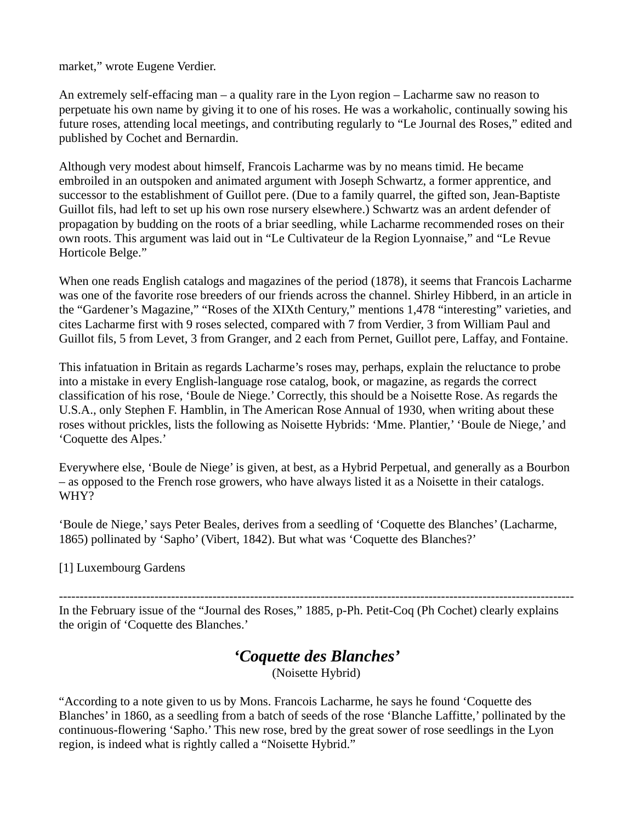market," wrote Eugene Verdier.

An extremely self-effacing man – a quality rare in the Lyon region – Lacharme saw no reason to perpetuate his own name by giving it to one of his roses. He was a workaholic, continually sowing his future roses, attending local meetings, and contributing regularly to "Le Journal des Roses," edited and published by Cochet and Bernardin.

Although very modest about himself, Francois Lacharme was by no means timid. He became embroiled in an outspoken and animated argument with Joseph Schwartz, a former apprentice, and successor to the establishment of Guillot pere. (Due to a family quarrel, the gifted son, Jean-Baptiste Guillot fils, had left to set up his own rose nursery elsewhere.) Schwartz was an ardent defender of propagation by budding on the roots of a briar seedling, while Lacharme recommended roses on their own roots. This argument was laid out in "Le Cultivateur de la Region Lyonnaise," and "Le Revue Horticole Belge."

When one reads English catalogs and magazines of the period (1878), it seems that Francois Lacharme was one of the favorite rose breeders of our friends across the channel. Shirley Hibberd, in an article in the "Gardener's Magazine," "Roses of the XIXth Century," mentions 1,478 "interesting" varieties, and cites Lacharme first with 9 roses selected, compared with 7 from Verdier, 3 from William Paul and Guillot fils, 5 from Levet, 3 from Granger, and 2 each from Pernet, Guillot pere, Laffay, and Fontaine.

This infatuation in Britain as regards Lacharme's roses may, perhaps, explain the reluctance to probe into a mistake in every English-language rose catalog, book, or magazine, as regards the correct classification of his rose, 'Boule de Niege.' Correctly, this should be a Noisette Rose. As regards the U.S.A., only Stephen F. Hamblin, in The American Rose Annual of 1930, when writing about these roses without prickles, lists the following as Noisette Hybrids: 'Mme. Plantier,' 'Boule de Niege,' and 'Coquette des Alpes.'

Everywhere else, 'Boule de Niege' is given, at best, as a Hybrid Perpetual, and generally as a Bourbon – as opposed to the French rose growers, who have always listed it as a Noisette in their catalogs. WHY?

'Boule de Niege,' says Peter Beales, derives from a seedling of 'Coquette des Blanches' (Lacharme, 1865) pollinated by 'Sapho' (Vibert, 1842). But what was 'Coquette des Blanches?'

[1] Luxembourg Gardens

---------------------------------------------------------------------------------------------------------------------------- In the February issue of the "Journal des Roses," 1885, p-Ph. Petit-Coq (Ph Cochet) clearly explains

the origin of 'Coquette des Blanches.'

## *'Coquette des Blanches'*

(Noisette Hybrid)

"According to a note given to us by Mons. Francois Lacharme, he says he found 'Coquette des Blanches' in 1860, as a seedling from a batch of seeds of the rose 'Blanche Laffitte,' pollinated by the continuous-flowering 'Sapho.' This new rose, bred by the great sower of rose seedlings in the Lyon region, is indeed what is rightly called a "Noisette Hybrid."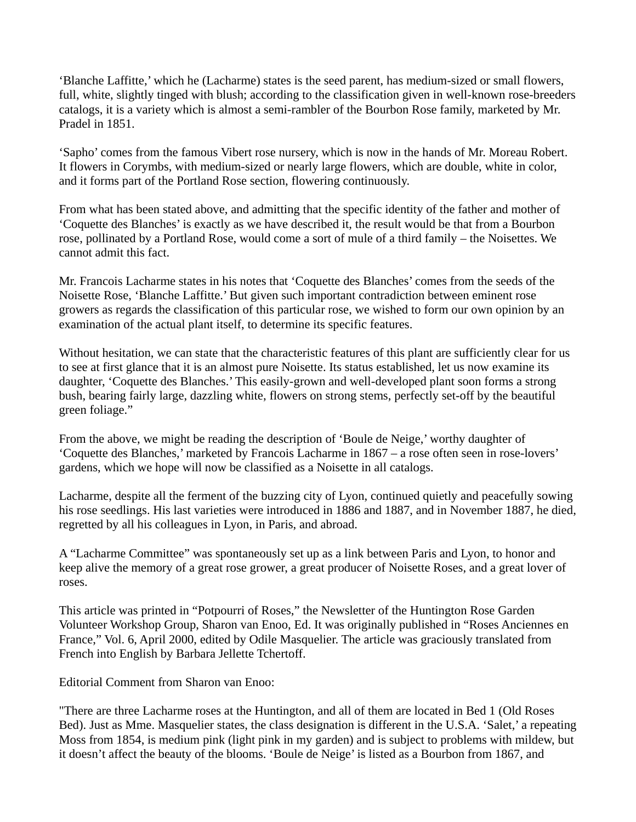'Blanche Laffitte,' which he (Lacharme) states is the seed parent, has medium-sized or small flowers, full, white, slightly tinged with blush; according to the classification given in well-known rose-breeders catalogs, it is a variety which is almost a semi-rambler of the Bourbon Rose family, marketed by Mr. Pradel in 1851.

'Sapho' comes from the famous Vibert rose nursery, which is now in the hands of Mr. Moreau Robert. It flowers in Corymbs, with medium-sized or nearly large flowers, which are double, white in color, and it forms part of the Portland Rose section, flowering continuously.

From what has been stated above, and admitting that the specific identity of the father and mother of 'Coquette des Blanches' is exactly as we have described it, the result would be that from a Bourbon rose, pollinated by a Portland Rose, would come a sort of mule of a third family – the Noisettes. We cannot admit this fact.

Mr. Francois Lacharme states in his notes that 'Coquette des Blanches' comes from the seeds of the Noisette Rose, 'Blanche Laffitte.' But given such important contradiction between eminent rose growers as regards the classification of this particular rose, we wished to form our own opinion by an examination of the actual plant itself, to determine its specific features.

Without hesitation, we can state that the characteristic features of this plant are sufficiently clear for us to see at first glance that it is an almost pure Noisette. Its status established, let us now examine its daughter, 'Coquette des Blanches.' This easily-grown and well-developed plant soon forms a strong bush, bearing fairly large, dazzling white, flowers on strong stems, perfectly set-off by the beautiful green foliage."

From the above, we might be reading the description of 'Boule de Neige,' worthy daughter of 'Coquette des Blanches,' marketed by Francois Lacharme in 1867 – a rose often seen in rose-lovers' gardens, which we hope will now be classified as a Noisette in all catalogs.

Lacharme, despite all the ferment of the buzzing city of Lyon, continued quietly and peacefully sowing his rose seedlings. His last varieties were introduced in 1886 and 1887, and in November 1887, he died, regretted by all his colleagues in Lyon, in Paris, and abroad.

A "Lacharme Committee" was spontaneously set up as a link between Paris and Lyon, to honor and keep alive the memory of a great rose grower, a great producer of Noisette Roses, and a great lover of roses.

This article was printed in "Potpourri of Roses," the Newsletter of the Huntington Rose Garden Volunteer Workshop Group, Sharon van Enoo, Ed. It was originally published in "Roses Anciennes en France," Vol. 6, April 2000, edited by Odile Masquelier. The article was graciously translated from French into English by Barbara Jellette Tchertoff.

Editorial Comment from Sharon van Enoo:

"There are three Lacharme roses at the Huntington, and all of them are located in Bed 1 (Old Roses Bed). Just as Mme. Masquelier states, the class designation is different in the U.S.A. 'Salet,' a repeating Moss from 1854, is medium pink (light pink in my garden) and is subject to problems with mildew, but it doesn't affect the beauty of the blooms. 'Boule de Neige' is listed as a Bourbon from 1867, and